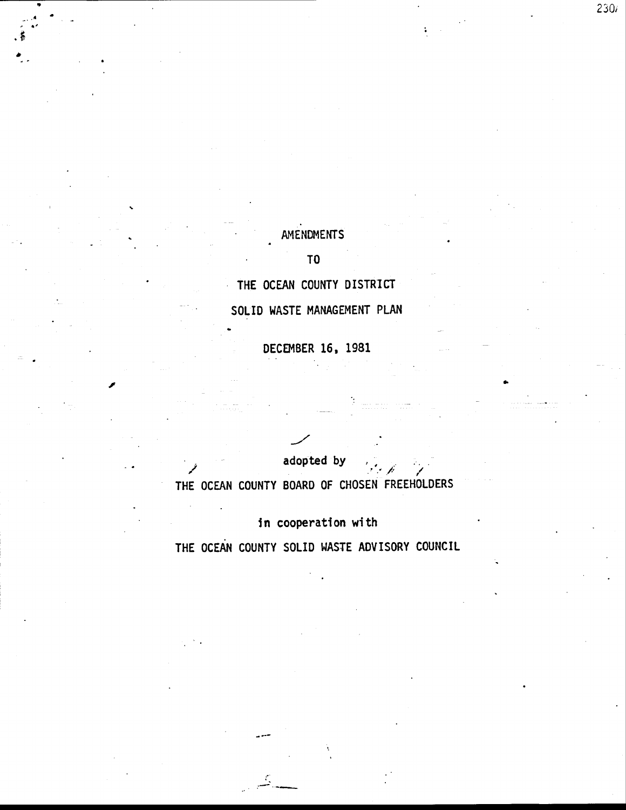## AMENDMENTS

 $230i$ 

### T<sub>0</sub>

THE OCEAN COUNTY DISTRICT

SOLID WASTE MANAGEMENT PLAN

DECEMBER 16, 1981

adopted by THE OCEAN COUNTY BOARD OF CHOSEN FREEHOLDERS

in cooperation with THE OCEAN COUNTY SOLID WASTE ADVISORY COUNCIL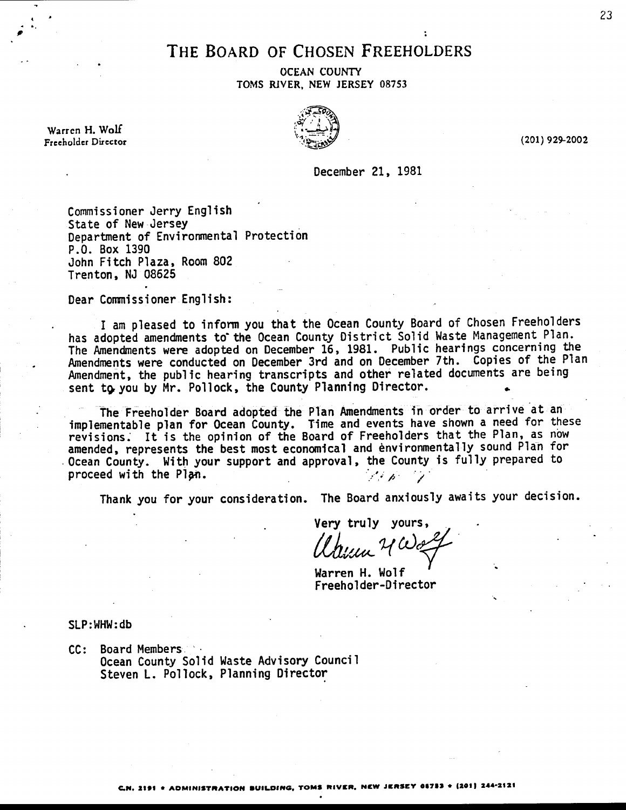## THE BOARD OF CHOSEN FREEHOLDERS

**OCEAN COUNTY** TOMS RIVER, NEW JERSEY 08753

Warren H. Wolf Freeholder Director



(201) 929-2002

December 21, 1981

Commissioner Jerry English State of New Jersey Department of Environmental Protection P.O. Box 1390 John Fitch Plaza, Room 802 Trenton, NJ 08625

Dear Commissioner English:

I am pleased to inform you that the Ocean County Board of Chosen Freeholders has adopted amendments to the Ocean County District Solid Waste Management Plan. The Amendments were adopted on December 16, 1981. Public hearings concerning the Amendments were conducted on December 3rd and on December 7th. Copies of the Plan Amendment, the public hearing transcripts and other related documents are being sent to you by Mr. Pollock, the County Planning Director.

The Freeholder Board adopted the Plan Amendments in order to arrive at an implementable plan for Ocean County. Time and events have shown a need for these revisions. It is the opinion of the Board of Freeholders that the Plan, as now amended, represents the best most economical and environmentally sound Plan for Ocean County. With your support and approval, the County is fully prepared to proceed with the Plan.  $\mathscr{L}\mathscr{L}(\mathscr{L})$ 

Thank you for your consideration. The Board anxiously awaits your decision.

Very truly yours,

Warren H. Wolf Freeholder-Director

 $SLP:WHW:db$ 

CC: Board Members Ocean County Solid Waste Advisory Council Steven L. Pollock, Planning Director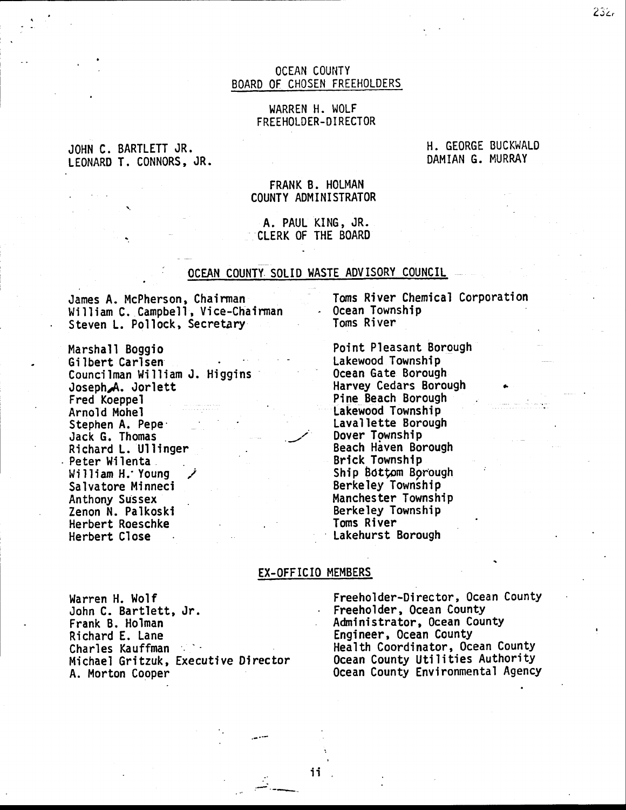### OCEAN COUNTY BOARD OF CHOSEN FREEHOLDERS

### WARREN H. WOLF FREEHOLDER-DIRECTOR

JOHN C. BARTLETT JR. LEONARD T. CONNORS, JR. H. GEORGE BUCKWALD DAMIAN G. MURRAY

### FRANK B. HOLMAN COUNTY ADMINISTRATOR

### A. PAUL KING, JR. CLERK OF THE BOARD

### OCEAN COUNTY SOLID WASTE ADVISORY COUNCIL

James A. McPherson, Chairman William C. Campbell, Vice-Chairman Steven L. Pollock, Secretary

Marshall Boggio Gi lbert Carlsen Councilman William J. Higgins Joseph.'A. Jorlett Fred Koeppel Arnold Mohel Stephen A. Pepe<sup>.</sup><br>Jack G. Thomas Richard L. Ullinger . Peter Wilenta William H.' Young Salvatore Minneci Anthony Sussex Zenon N. Palkoski Herbert Roeschke Herbert Close

Toms River Chemical Corporation Ocean Township Toms River

Point Pleasant Borough Lakewood Township 0cean Gate Borough Harvey Cedars Borough - Pine Beach Borough : Lakewood Township Laval lette Borough Dover Township Beach Haven Borough Brlck Township Ship Bottom Borough Berkeley Township Manchester Township Berkeley Township Toms River Lakehurst Borough

#### EX-OFFICIO MEMBERS

Warren H. Wolf John C. Bartlett, Jr. Frank B. Holman Richard E. Lane Charles Kauffman Michael Gritzuk, Executive Director A. Morton Cooper

Freeholder-Director, Ocean County Freeholder, Ocean County Adninistrator, 0cean County Engineer, Ocean CountY Health Coordinator, 0cean CountY Ocean County Utilities Authority 0cean County Environmental Agency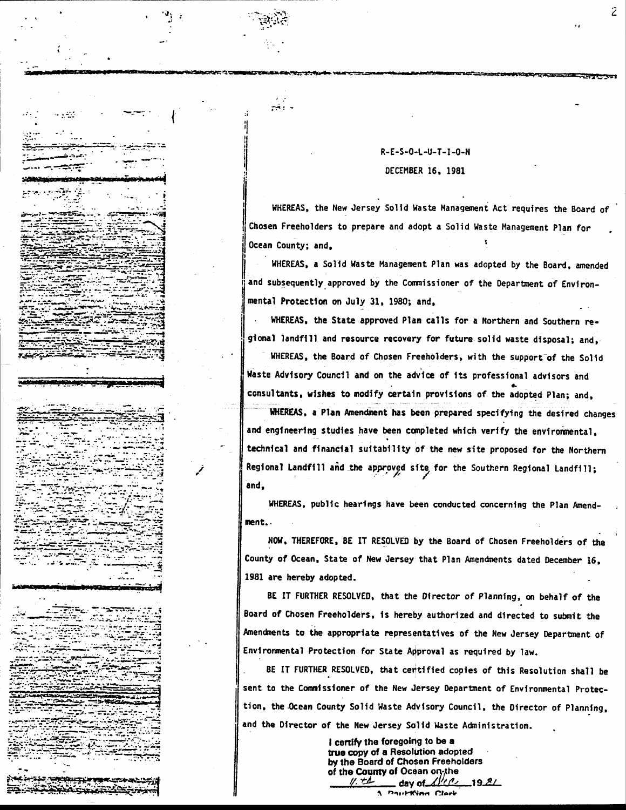### R-E-S-O-L-U-T-I-O-N DECEMBER 16, 1981

د وفيع

ويعدد

. می در د

ومساور

حكتاها

*<u>PARTICULAR PRODUCTS</u>* 

WHEREAS, the New Jersey Solid Waste Management Act requires the Board of Chosen Freeholders to prepare and adopt a Solid Waste Management Plan for Ocean County; and.

WHEREAS, a Solid Waste Management Plan was adopted by the Board, amended and subsequently approved by the Commissioner of the Department of Environmental Protection on July 31, 1980; and,

WHEREAS, the State approved Plan calls for a Northern and Southern regional landfill and resource recovery for future solid waste disposal; and,

WHEREAS, the Board of Chosen Freeholders, with the support of the Solid Waste Advisory Council and on the advice of its professional advisors and consultants, wishes to modify certain provisions of the adopted Plan; and, WHEREAS, a Plan Amendment has been prepared specifying the desired changes and engineering studies have been completed which verify the environmental, technical and financial suitability of the new site proposed for the Northern Regional Landfill and the approved site for the Southern Regional Landfill; and.

WHEREAS, public hearings have been conducted concerning the Plan Amendment.

NOW, THEREFORE, BE IT RESOLVED by the Board of Chosen Freeholders of the County of Ocean, State of New Jersey that Plan Amendments dated December 16, 1981 are hereby adopted.

BE IT FURTHER RESOLVED, that the Director of Planning, on behalf of the Board of Chosen Freeholders, is hereby authorized and directed to submit the Amendments to the appropriate representatives of the New Jersey Department of Environmental Protection for State Approval as required by law.

BE IT FURTHER RESOLVED, that certified copies of this Resolution shall be sent to the Commissioner of the New Jersey Department of Environmental Protection, the Ocean County Solid Waste Advisory Council, the Director of Planning, and the Director of the New Jersey Solid Waste Administration.

> I certify the foregoing to be a true copy of a Resolution adopted by the Board of Chosen Freeholders of the County of Ocean on the . day of  $\angle$  $192/$  $11.74$

**A. Paul King Clerk**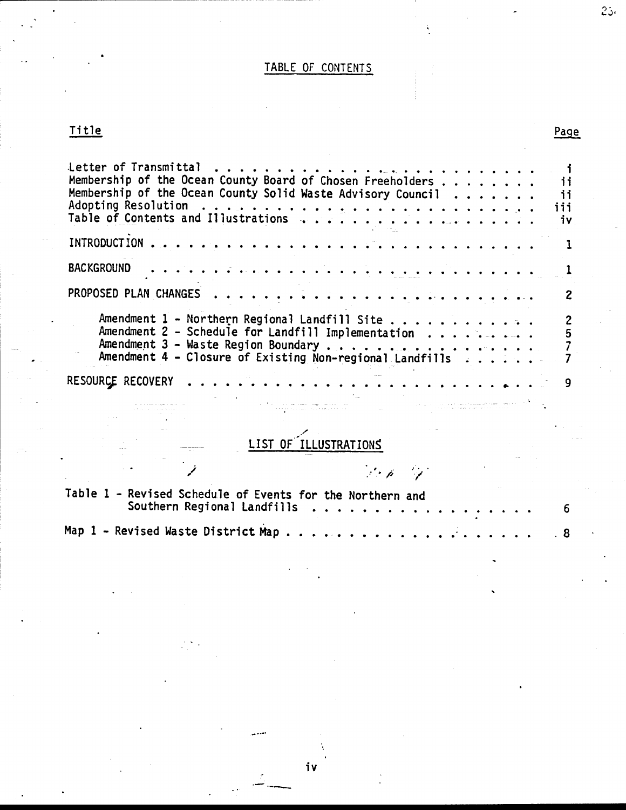# TABLE OF CONTENTS

# <u>Title</u>

 $25<sub>1</sub>$ 

| Membership of the Ocean County Board of Chosen Freeholders<br>Membership of the Ocean County Solid Waste Advisory Council                                       | jį<br>ii<br>iii<br>iν |
|-----------------------------------------------------------------------------------------------------------------------------------------------------------------|-----------------------|
|                                                                                                                                                                 |                       |
| <b>BACKGROUND</b><br><u>ka kika kai meka ka kai ka kika ka ka ka ka ka ka ko</u>                                                                                |                       |
|                                                                                                                                                                 |                       |
| Amendment 1 - Northern Regional Landfill Site<br>Amendment 2 - Schedule for Landfill Implementation<br>Amendment 4 - Closure of Existing Non-regional Landfills |                       |
| RESOURCE RECOVERY                                                                                                                                               | 9                     |

# LIST OF TLLUSTRATIONS

na samar<br>Alaman

 $\begin{array}{ll} \hbox{supp} & \hbox{supp}(\alpha, \alpha) = \beta \, \cdots \, \end{array}$  and  $\beta \, \beta \, \cdots \, \beta \, \cdots$ 

| <b>Service Control</b>                                    | in the first product of the first product of the product of the product of the product of the product of the p |  |  |  |
|-----------------------------------------------------------|----------------------------------------------------------------------------------------------------------------|--|--|--|
| Table 1 - Revised Schedule of Events for the Northern and |                                                                                                                |  |  |  |
|                                                           |                                                                                                                |  |  |  |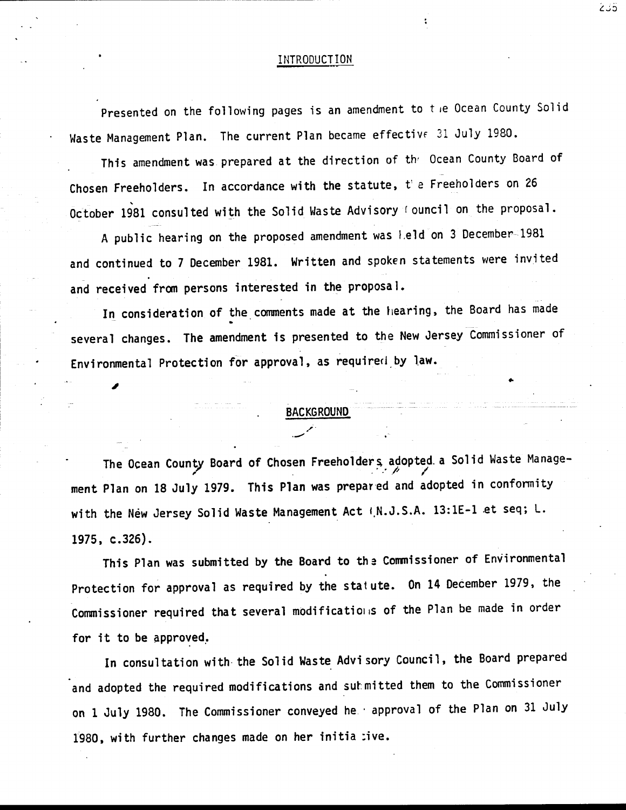#### INTRODUCTION

Presented on the following pages is an amendment to the Ocean County Solid Waste Management Plan. The current Plan became effective 31 July 1980.

This amendment was prepared at the direction of the Ocean County Board of Chosen Freeholders. In accordance with the statute, the Freeholders on 26 October 1981 consulted with the Solid Waste Advisory (ouncil on the proposal.

A public hearing on the proposed amendment was leld on 3 December-1981 and continued to 7 December 1981. Written and spoken statements were invited and received from persons interested in the proposal.

In consideration of the comments made at the hearing, the Board has made several changes. The amendment is presented to the New Jersey Commissioner of Environmental Protection for approval, as required by law.

### **BACKGROUND**

The Ocean County Board of Chosen Freeholders adopted a Solid Waste Management Plan on 18 July 1979. This Plan was prepared and adopted in conformity with the New Jersey Solid Waste Management Act (N.J.S.A. 13:1E-1 et seq; L.  $1975, c.326$ .

This Plan was submitted by the Board to the Commissioner of Environmental Protection for approval as required by the statute. On 14 December 1979, the Commissioner required that several modifications of the Plan be made in order for it to be approved.

In consultation with the Solid Waste Advisory Council, the Board prepared and adopted the required modifications and submitted them to the Commissioner on 1 July 1980. The Commissioner conveyed he approval of the Plan on 31 July 1980, with further changes made on her initia :ive.

أذناع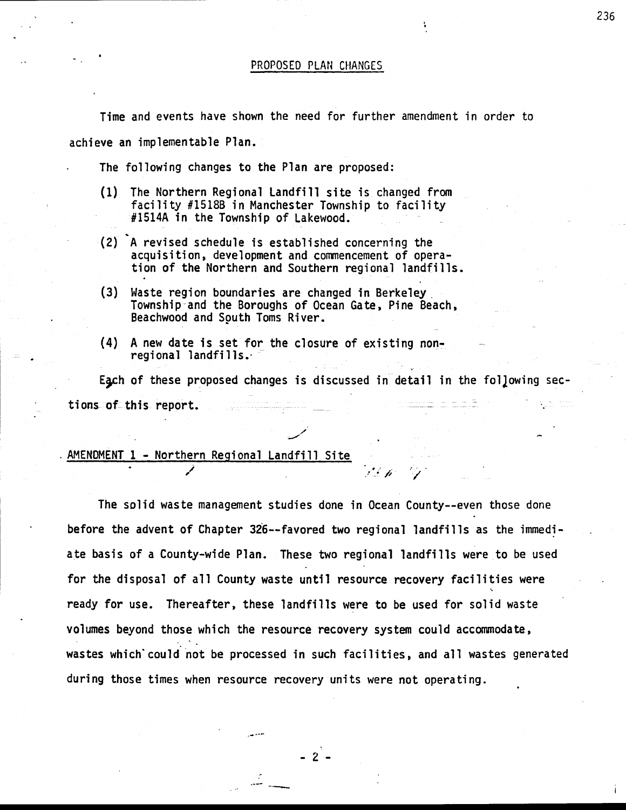Time and events have shown the need for further amendment in order to achieve an implementable Plan.

. The following changes to the Plan are proposed:

- (1) The Northern Regional Landfill site is changed fron facility #15188 in Manchester Township to facility #1514A in the Township of Lakewood.
- (2) A revised schedule is established concerning the acquisition, development and commencement of operation of the Northern and Southern regional landfills.
- (3) Waste region boundaries are changed in Berkeley Township-and the Boroughs of 0cean Gate, Pine Beach, . Beachwood and Sguth Toms River.
- (4) <sup>A</sup>new date is set for the closure of existing non- . regional landfills.' '

Each of these proposed changes is discussed in detail in the following sections of this report.

.<br>س

### AMENDMENT 1 - Northern Regional Landfill Site

.<br>.<br>.

The solid waste management studies done in Ocean County--even those done ' before the advent of Chapter 326--favored two regional landfills as the immediate basis of a County-wide Plan. These two regional landfills were to be used for the disposal of all County waste until resource recovery facilities were ready for use. Thereafter, these landfills were to be used for solid waste volumes beyond those which the resource recovery system could accommodate, wastes which'could not be processed in such facilities, and all wastes generated during those times when resource recovery units were not operating.

-2-

236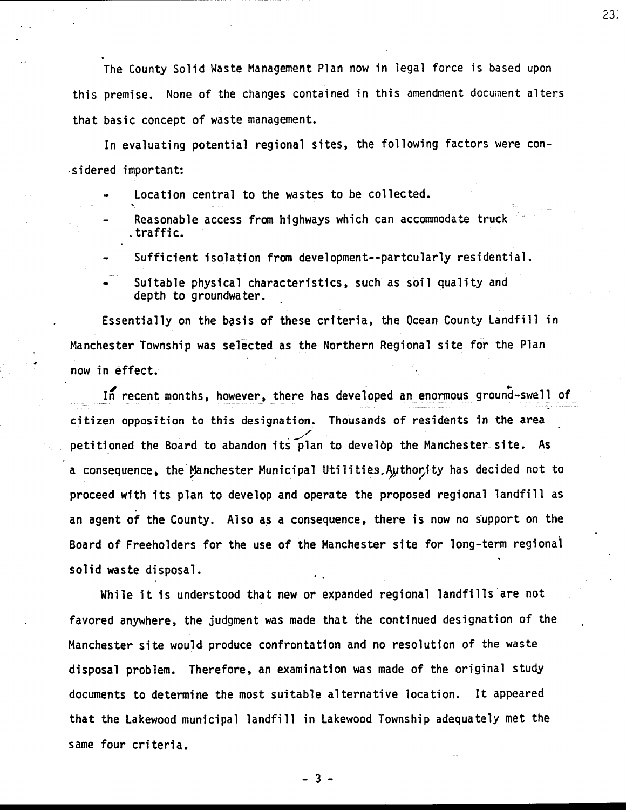The County Solid Waste Management Plan now in legal force is based upon this premise. None of the changes contained in this amendment document alters that basic concept of waste management.

23,

In evaluating potential regional sites, the following factors were con- .sidered important:

- Location central to the wastes to be collected.
- Reasonable access from highways which can accommodate truck .traffic.
- Sufficient isolation from development--partcularly residential.

Suitable physical characteristics, such as soil quality and depth to groundwater.

Essentially on the basis of these criteria, the Ocean County Landfill in Manchester Township was selected as the Northern Regional site for the Plan now in effect.

In recent months, however, there has developed an enormous ground-swell of citizen opposition to this designation. Thousands of residents in the area ./ petitioned the Board to abandon its plan to develop the Manchester site. As a consequence, the Manchester Municipal Utilities. Authority has decided not to proceed with its plan to develop and operate the proposed regional landfill as an agent of the County. Also as a consequence, there is now no support on the Board of Freeholders for the use of the Manchester site for long-term regional solid waste disposal.

While it is understood that new or expanded regional landfills are not favored anywhere, the judgment was made that the continued designation of the Manchester site would produce confrontation and no resolution of the waste disposal problem. Therefore, an examination was made of the original study documents to determine the most suitable alternative location. It appeared that the Lakewood municipal landfill in Lakewood Township adequately met the same four criteria.

-3-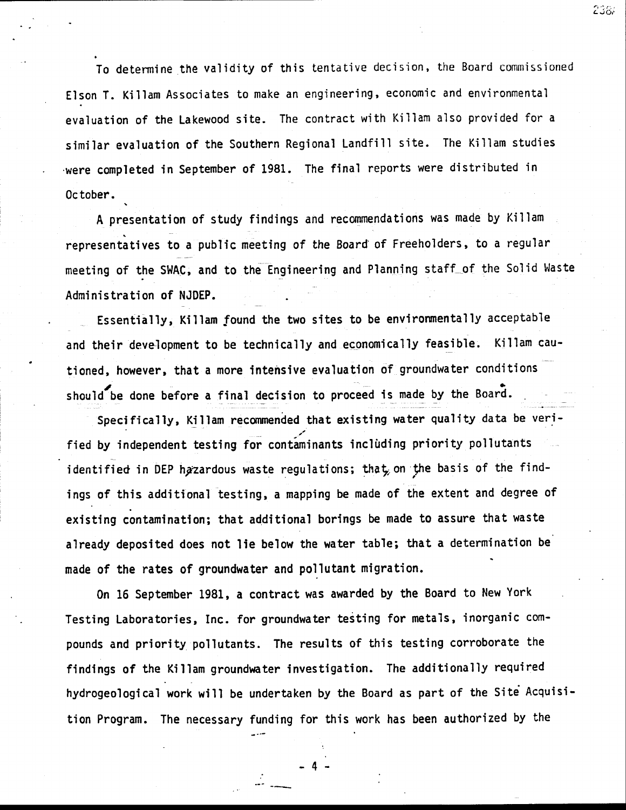To determine the validity of this tentative decision, the Board commissioned Elson T. Killam Associates to make an engineering, economic and environmental evaluation of the Lakewood site. The contract with Killam also provided for <sup>a</sup> similar evaluation of the Southern Regional Landfill site. The Killam studies .were completed in September of 1981. The final reports were distributed in 0ctober..

A presentation of study findings and recommendations was made by Killam representatives to a public meeting of the Board of Freeholders, to a regular meeting of the SWAC, and to the Engineering and Planning staff of the Solid Waste Administration of NJDEP.

Essentially, Killam found the two sites to be environmentally acceptab'le and their development to be technically and economically feasible. Killam cautioned, however, that a more intensive evaluation of groundwater conditions should be done before a final decision to proceed is made by the Board.

Specifically, Killam recommended that existing water quality data be verified by independent testing for contaminants including priority pollutants identified in DEP hazardous waste regulations; that, on the basis of the findings of this additional testing, a mapping be made of the extent and degree of existing contamination; that additional borings be made to assure that waste already deposited does not lie below the water table; that a determination be made of the rates of groundwater and pollutant migration.

0n 16 September 1981, a contract was awarded by the Board to New York Testing Laboratories, Inc. for groundwater testing for metals, inorganic compounds and priority pollutants. The results of this testing corroborate the findings of the Killam groundwater investigation. The additionally required hydrogeological work will be undertaken by the Board as part of the Site Acquisition Program. The necessary funding for this work has been authorized by the

238.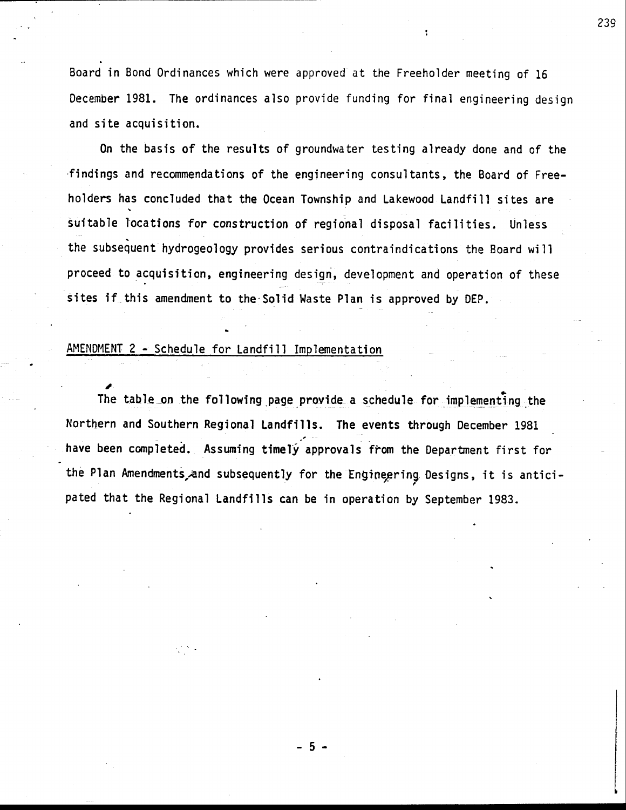Board in Bond 0rdinances which were approved at the Freeholder meeting of <sup>16</sup> Decemb<mark>er 1981. The ordinances also</mark> provide funding for final engineering design and site acquisition.

0n the basis of the results of groundwater testing already done and of the 'findings and recommendations of the engineering consultants, the Board of Freeholders has concluded that the Ocean Township and Lakewood Landfill sites are suitable locations for construction of regional disposal facilities. Unless the subsequent hydrogeology provides serious contraindications the Board wil'l proceed to acquisition, engineering design, development and operation of these sites if this amendment to the Solid Waste Plan is approved by DEP.

### AMENDMENT 2 - Schedule for Landfill Implementation

i.

The table on the following page provide a schedule for implementing the Northern and Southern Regional Landfills. The events through December <sup>1981</sup> have been completed. Assuming timely approvals from the Department first for the Plan Amendments and subsequently for the Engineering Designs, it is anticipated that the Regional Landfills can be in operation by September 1983.

-5-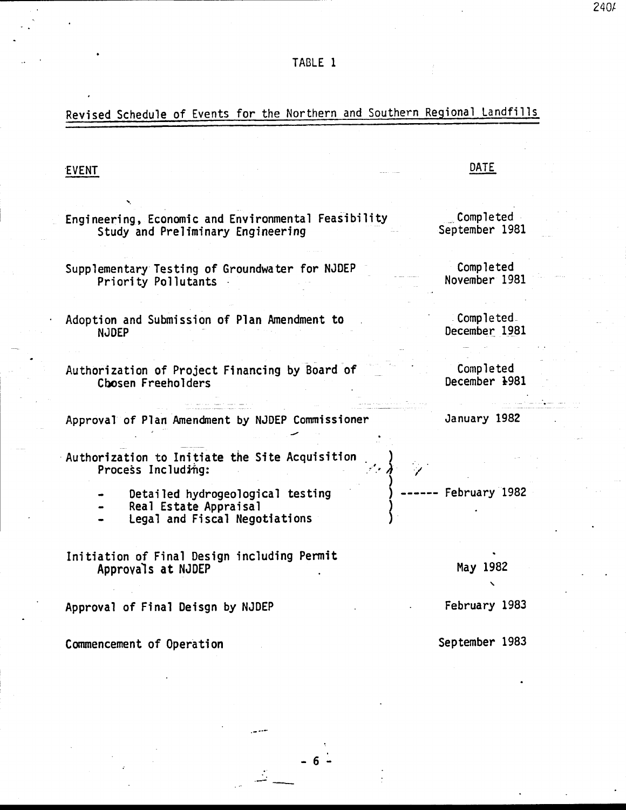# Revised Schedule of Events for the Northern and Southern Regional Landfills

### EVENT

### DATE

Engineering, Economic and Environmental Feasibility Study and Preliminary Engineering

Supplementary Testing of Groundwater for NJDEP Priority Pollutants

Adoption and Submission of Plan Amendment to **NJDEP** 

Authorization of Project Financing by Board of Chosen Freeholders

Approval of Plan Amendment by NJDEP Commissioner

Authorization to Initiate the Site Acquisition Process Including:

- Detailed hydrogeological testing
- Real Estate Appraisal
- Legal and Fiscal Negotiations

Initiation of Final Design including Permit Approvals at NJDEP

Approval of Final Deisgn by NJDEP

Commencement of Operation

Completed

Completed September 1981

November 1981

Completed. December 1981

Completed December 1981

January 1982

- February 1982

May 1982

February 1983

September 1983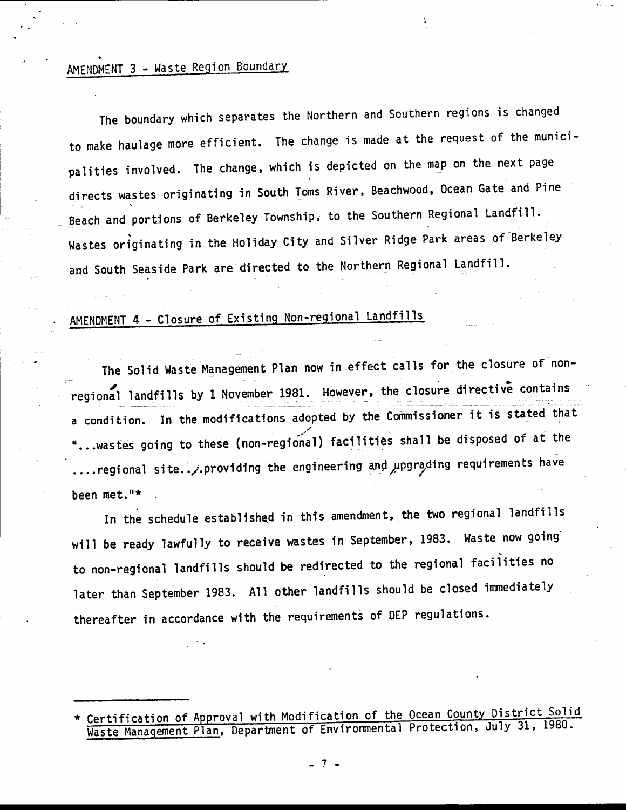## AMENDMENT 3 - Waste Region Boundary

The boundary which separates the Northern and Southern regions is changed to make haulage more efficient. The change is made at the request of the municipalities involved. The change, which is depicted on the map on the next page directs wastes originating in South Toms River, Beachwood, Ocean Gate and Pine Beach and portions of Berkeley Township, to the Southern Regional Landfill. Wastes originating in the Holiday City and Silver Ridge Park areas of Berkeley and South Seaside Park are directed to the Northern Regional Landfill.

# AMENDMENT 4 - Closure of Existing Non-regional Landfills

The solid waste Management plan now in effect calls for the closure of non regional landfills by 1 November 1981. However, the closure directive contains a condition. In the modifications adopted by the Commissioner it is stated that "...wastes going to these (non-regional) facilities shall be disposed of at the ....regional site../.providing the engineering and upgrading requirements have been met."\*

In the schedule established in this amendment, the two regional landfills will be ready lawfully to receive wastes in September, 1983. Waste now going to non-regional Iandfills should be redirected to the regional taciiities no later than September 1983. All other landfills should be closed immediately thereafter in accordance with the requirements of DEP regulations.

Certification of Approval with Modification of the Ocean County District Solid ste Management Plan, Department of Environmental Protection, July 31, 1980.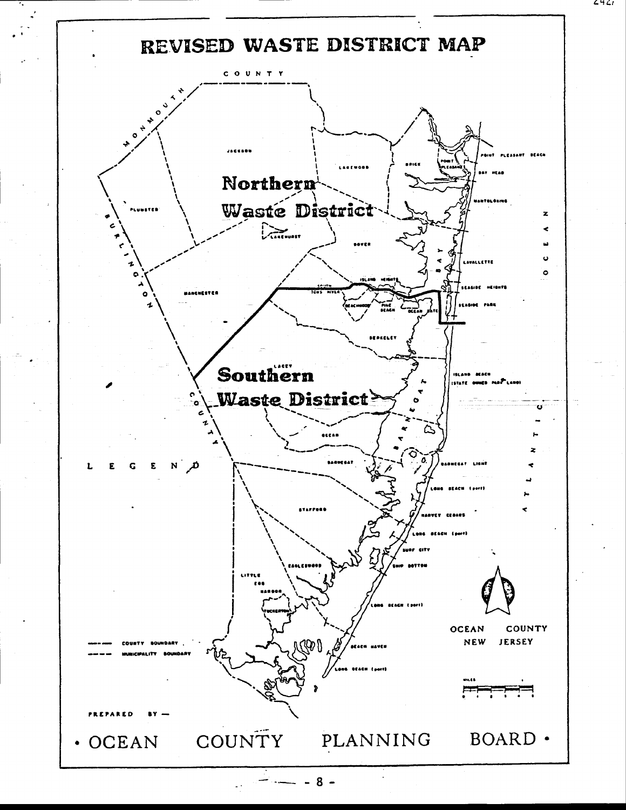

 $8 -$ 

64 G i